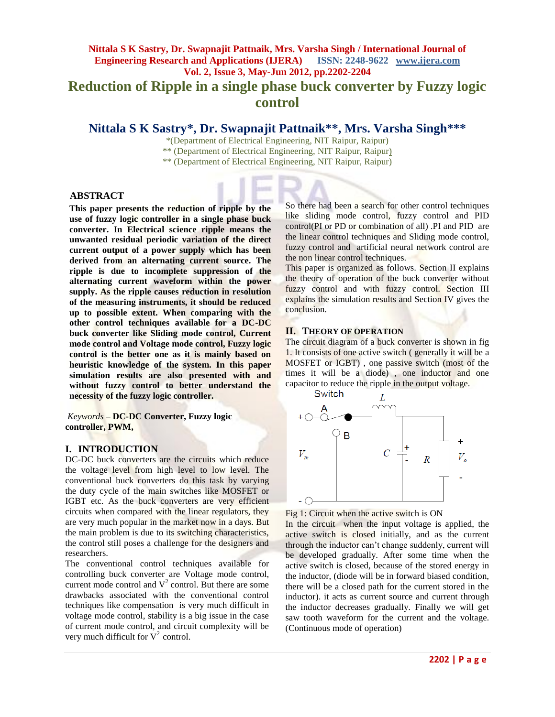# **Nittala S K Sastry, Dr. Swapnajit Pattnaik, Mrs. Varsha Singh / International Journal of Engineering Research and Applications (IJERA) ISSN: 2248-9622 www.ijera.com Vol. 2, Issue 3, May-Jun 2012, pp.2202-2204 Reduction of Ripple in a single phase buck converter by Fuzzy logic control**

# **Nittala S K Sastry\*, Dr. Swapnajit Pattnaik\*\* , Mrs. Varsha Singh\*\*\***

\*(Department of Electrical Engineering, NIT Raipur, Raipur)

\*\* (Department of Electrical Engineering, NIT Raipur, Raipur)

\*\* (Department of Electrical Engineering, NIT Raipur, Raipur)

#### **ABSTRACT**

**This paper presents the reduction of ripple by the use of fuzzy logic controller in a single phase buck converter. In Electrical science ripple means the unwanted residual periodic variation of the direct current output of a power supply which has been derived from an alternating current source. The ripple is due to incomplete suppression of the alternating current waveform within the power supply. As the ripple causes reduction in resolution of the measuring instruments, it should be reduced up to possible extent. When comparing with the other control techniques available for a DC-DC buck converter like Sliding mode control, Current mode control and Voltage mode control, Fuzzy logic control is the better one as it is mainly based on heuristic knowledge of the system. In this paper simulation results are also presented with and without fuzzy control to better understand the necessity of the fuzzy logic controller.**

*Keywords* **– DC-DC Converter, Fuzzy logic controller, PWM,**

### **I. INTRODUCTION**

DC-DC buck converters are the circuits which reduce the voltage level from high level to low level. The conventional buck converters do this task by varying the duty cycle of the main switches like MOSFET or IGBT etc. As the buck converters are very efficient circuits when compared with the linear regulators, they are very much popular in the market now in a days. But the main problem is due to its switching characteristics, the control still poses a challenge for the designers and researchers.

The conventional control techniques available for controlling buck converter are Voltage mode control, current mode control and  $V^2$  control. But there are some drawbacks associated with the conventional control techniques like compensation is very much difficult in voltage mode control, stability is a big issue in the case of current mode control, and circuit complexity will be very much difficult for  $V^2$  control.

So there had been a search for other control techniques like sliding mode control, fuzzy control and PID control(PI or PD or combination of all) .PI and PID are the linear control techniques and Sliding mode control, fuzzy control and artificial neural network control are the non linear control techniques.

This paper is organized as follows. Section II explains the theory of operation of the buck converter without fuzzy control and with fuzzy control. Section III explains the simulation results and Section IV gives the conclusion.

#### **II. THEORY OF OPERATION**

The circuit diagram of a buck converter is shown in fig. 1. It consists of one active switch ( generally it will be a MOSFET or IGBT) , one passive switch (most of the times it will be a diode) , one inductor and one capacitor to reduce the ripple in the output voltage.



Fig 1: Circuit when the active switch is ON

In the circuit when the input voltage is applied, the active switch is closed initially, and as the current through the inductor can't change suddenly, current will be developed gradually. After some time when the active switch is closed, because of the stored energy in the inductor, (diode will be in forward biased condition, there will be a closed path for the current stored in the inductor). it acts as current source and current through the inductor decreases gradually. Finally we will get saw tooth waveform for the current and the voltage. (Continuous mode of operation)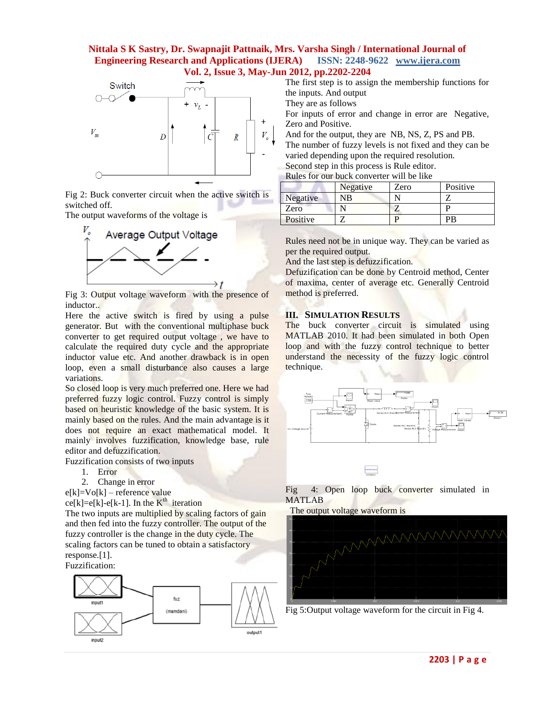## **Nittala S K Sastry, Dr. Swapnajit Pattnaik, Mrs. Varsha Singh / International Journal of Engineering Research and Applications (IJERA) ISSN: 2248-9622 www.ijera.com Vol. 2, Issue 3, May-Jun 2012, pp.2202-2204**



Fig 2: Buck converter circuit when the active switch is switched off.

The output waveforms of the voltage is



Fig 3: Output voltage waveform with the presence of inductor..

Here the active switch is fired by using a pulse generator. But with the conventional multiphase buck converter to get required output voltage , we have to calculate the required duty cycle and the appropriate inductor value etc. And another drawback is in open loop, even a small disturbance also causes a large variations.

So closed loop is very much preferred one. Here we had preferred fuzzy logic control. Fuzzy control is simply based on heuristic knowledge of the basic system. It is mainly based on the rules. And the main advantage is it does not require an exact mathematical model. It mainly involves fuzzification, knowledge base, rule editor and defuzzification.

Fuzzification consists of two inputs

- 1. Error
- 2. Change in error

 $e[k] = Vo[k]$  – reference value ce[k]=e[k]-e[k-1]. In the  $K<sup>th</sup>$  iteration

The two inputs are multiplied by scaling factors of gain and then fed into the fuzzy controller. The output of the fuzzy controller is the change in the duty cycle. The scaling factors can be tuned to obtain a satisfactory response.[1].

Fuzzification:



The first step is to assign the membership functions for the inputs. And output

They are as follows

For inputs of error and change in error are Negative, Zero and Positive.

And for the output, they are NB, NS, Z, PS and PB.

The number of fuzzy levels is not fixed and they can be varied depending upon the required resolution. Second step in this process is Rule editor.

Rules for our buck converter will be like

| <u>INING IOI ORI ORCH COIFVOLICE WILL OC HING</u> |          |      |          |
|---------------------------------------------------|----------|------|----------|
|                                                   | Negative | Zero | Positive |
| Negative                                          | NΒ       |      |          |
| Zero                                              |          |      |          |
| Positive                                          |          |      | РR       |

Rules need not be in unique way. They can be varied as per the required output.

And the last step is defuzzification.

Defuzification can be done by Centroid method, Center of maxima, center of average etc. Generally Centroid method is preferred.

### **III. SIMULATION RESULTS**

The buck converter circuit is simulated using MATLAB 2010. It had been simulated in both Open loop and with the fuzzy control technique to better understand the necessity of the fuzzy logic control technique.



Fig 4: Open loop buck converter simulated in MATLAB

The output voltage waveform is



Fig 5:Output voltage waveform for the circuit in Fig 4.